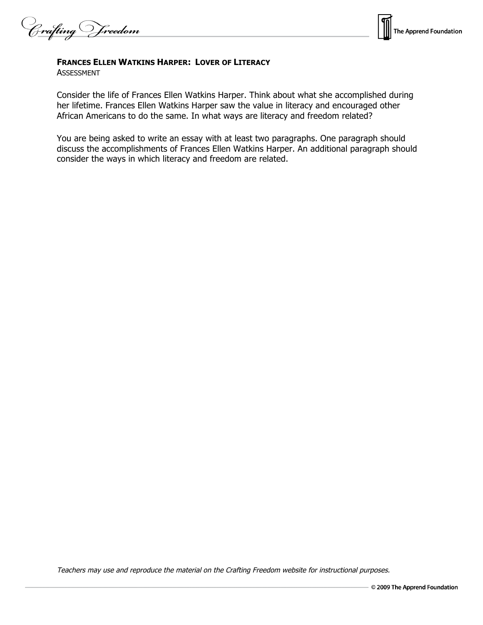frafting Vreedom



## **FRANCES ELLEN WATKINS HARPER: LOVER OF LITERACY**

ASSESSMENT

Consider the life of Frances Ellen Watkins Harper. Think about what she accomplished during her lifetime. Frances Ellen Watkins Harper saw the value in literacy and encouraged other African Americans to do the same. In what ways are literacy and freedom related?

You are being asked to write an essay with at least two paragraphs. One paragraph should discuss the accomplishments of Frances Ellen Watkins Harper. An additional paragraph should consider the ways in which literacy and freedom are related.

Teachers may use and reproduce the material on the Crafting Freedom website for instructional purposes.